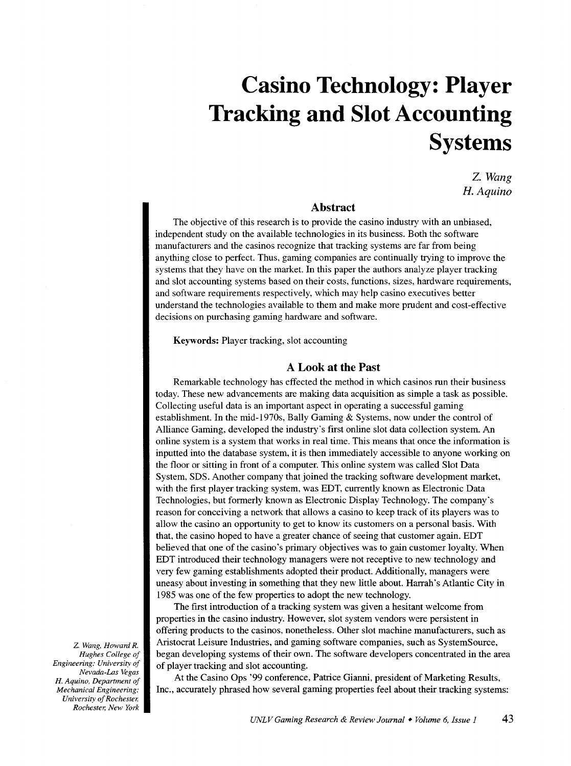# **Casino Technology: Player Tracking and Slot Accounting Systems**

Z. *Wang H. Aquino* 

### **Abstract**

The objective of this research is to provide the casino industry with an unbiased, independent study on the available technologies in its business. Both the software manufacturers and the casinos recognize that tracking systems are far from being anything close to perfect. Thus, gaming companies are continually trying to improve the systems that they have on the market. In this paper the authors analyze player tracking and slot accounting systems based on their costs, functions, sizes, hardware requirements, and software requirements respectively, which may help casino executives better understand the technologies available to them and make more prudent and cost-effective decisions on purchasing gaming hardware and software.

Keywords: Player tracking, slot accounting

### **A Look at the Past**

Remarkable technology has effected the method in which casinos run their business today. These new advancements are making data acquisition as simple a task as possible. Collecting useful data is an important aspect in operating a successful gaming establishment. In the mid-1970s, Bally Gaming & Systems, now under the control of Alliance Gaming, developed the industry's first online slot data collection system. An online system is a system that works in real time. This means that once the information is inputted into the database system, it is then immediately accessible to anyone working on the floor or sitting in front of a computer. This online system was called Slot Data System, SDS. Another company that joined the tracking software development market, with the first player tracking system, was EDT, currently known as Electronic Data Technologies, but formerly known as Electronic Display Technology. The company·s reason for conceiving a network that allows a casino to keep track of its players was to allow the casino an opportunity to get to know its customers on a personal basis. With that, the casino hoped to have a greater chance of seeing that customer again. EDT believed that one of the casino's primary objectives was to gain customer loyalty. When EDT introduced their technology managers were not receptive to new technology and very few gaming establishments adopted their product. Additionally, managers were uneasy about investing in something that they new little about. Harrah· s Atlantic City in 1985 was one of the few properties to adopt the new technology.

The first introduction of a tracking system was given a hesitant welcome from properties in the casino industry. However, slot system vendors were persistent in offering products to the casinos, nonetheless. Other slot machine manufacturers, such as Aristocrat Leisure Industries, and gaming software companies, such as SystemSource. began developing systems of their own. The software developers concentrated in the area of player tracking and slot accounting.

At the Casino Ops '99 conference, Patrice Gianni, president of Marketing Results, Inc., accurately phrased how several gaming properties feel about their tracking systems:

Z. *Wang, Howard R. Hughes College of Engineering: University of Nevada-Las Vegas*  H, *Aquino, Department of Mechanical Engineering: University of Rochester, Rochester, New York*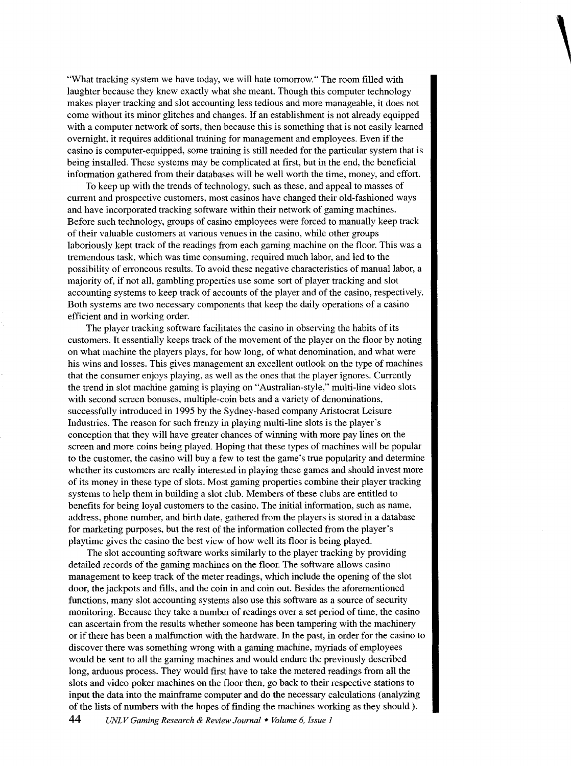"What tracking system we have today, we will hate tomorrow." The room filled with laughter because they knew exactly what she meant. Though this computer technology makes player tracking and slot accounting less tedious and more manageable, it does not come without its minor glitches and changes. If an establishment is not already equipped with a computer network of sorts, then because this is something that is not easily learned overnight, it requires additional training for management and employees. Even if the casino is computer-equipped, some training is still needed for the particular system that is being installed. These systems may be complicated at first, but in the end, the beneficial information gathered from their databases will be well worth the time, money, and effort.

**\** 

To keep up with the trends of technology, such as these, and appeal to masses of current and prospective customers, most casinos have changed their old-fashioned ways and have incorporated tracking software within their network of gaming machines. Before such technology, groups of casino employees were forced to manually keep track of their valuable customers at various venues in the casino, while other groups laboriously kept track of the readings from each gaming machine on the floor. This was a tremendous task, which was time consuming, required much labor, and led to the possibility of erroneous results. To avoid these negative characteristics of manual labor, a majority of, if not all, gambling properties use some sort of player tracking and slot accounting systems to keep track of accounts of the player and of the casino, respectively. Both systems are two necessary components that keep the daily operations of a casino efficient and in working order.

The player tracking software facilitates the casino in observing the habits of its customers. It essentially keeps track of the movement of the player on the floor by noting on what machine the players plays, for how long, of what denomination, and what were his wins and losses. This gives management an excellent outlook on the type of machines that the consumer enjoys playing, as well as the ones that the player ignores. Currently the trend in slot machine gaming is playing on "Australian-style," multi-line video slots with second screen bonuses, multiple-coin bets and a variety of denominations, successfully introduced in 1995 by the Sydney-based company Aristocrat Leisure Industries. The reason for such frenzy in playing multi-line slots is the player's conception that they will have greater chances of winning with more pay lines on the screen and more coins being played. Hoping that these types of machines will be popular to the customer, the casino will buy a few to test the game's true popularity and determine whether its customers are really interested in playing these games and should invest more of its money in these type of slots. Most gaming properties combine their player tracking systems to help them in building a slot club. Members of these clubs are entitled to benefits for being loyal customers to the casino. The initial information, such as name, address, phone number, and birth date, gathered from the players is stored in a database for marketing purposes, but the rest of the information collected from the player's playtime gives the casino the best view of how well its floor is being played.

The slot accounting software works similarly to the player tracking by providing detailed records of the gaming machines on the floor. The software allows casino management to keep track of the meter readings, which include the opening of the slot door, the jackpots and fills, and the coin in and coin out. Besides the aforementioned functions, many slot accounting systems also use this software as a source of security monitoring. Because they take a number of readings over a set period of time, the casino can ascertain from the results whether someone has been tampering with the machinery or if there has been a malfunction with the hardware. In the past, in order for the casino to discover there was something wrong with a gaming machine, myriads of employees would be sent to all the gaming machines and would endure the previously described long, arduous process. They would first have to take the metered readings from all the slots and video poker machines on the floor then, go back to their respective stations to input the data into the mainframe computer and do the necessary calculations (analyzing of the lists of numbers with the hopes of finding the machines working as they should ).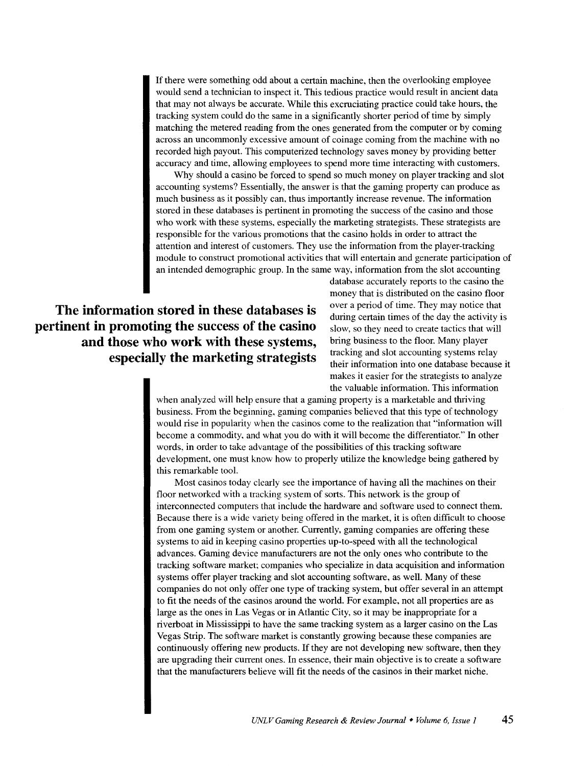If there were something odd about a certain machine, then the overlooking employee would send a technician to inspect it. This tedious practice would result in ancient data that may not always be accurate. While this excruciating practice could take hours, the tracking system could do the same in a significantly shorter period of time by simply matching the metered reading from the ones generated from the computer or by coming across an uncommonly excessive amount of coinage coming from the machine with no recorded high payout. This computerized technology saves money by providing better accuracy and time, allowing employees to spend more time interacting with customers.

Why should a casino be forced to spend so much money on player tracking and slot accounting systems? Essentially, the answer is that the gaming property can produce as much business as it possibly can, thus importantly increase revenue. The information stored in these databases is pertinent in promoting the success of the casino and those who work with these systems, especially the marketing strategists. These strategists are responsible for the various promotions that the casino holds in order to attract the attention and interest of customers. They use the information from the player-tracking module to construct promotional activities that will entertain and generate participation of an intended demographic group. In the same way, information from the slot accounting

**The information stored in these databases is pertinent in promoting the success of the casino and those who work with these systems, especially the marketing strategists**  database accurately reports to the casino the money that is distributed on the casino floor over a period of time. They may notice that during certain times of the day the activity is slow, so they need to create tactics that will bring business to the floor. Many player tracking and slot accounting systems relay their information into one database because it makes it easier for the strategists to analyze the valuable information. This information

when analyzed will help ensure that a gaming property is a marketable and thriving business. From the beginning. gaming companies believed that this type of technology would rise in popularity when the casinos come to the realization that "information will become a commodity. and what you do with it will become the differentiator." In other words, in order to take advantage of the possibilities of this tracking software development, one must know how to properly utilize the knowledge being gathered by this remarkable tool.

Most casinos today clearly see the importance of having all the machines on their floor networked with a tracking system of sorts. This network is the group of interconnected computers that include the hardware and software used to connect them. Because there is a wide variety being offered in the market, it is often difficult to choose from one gaming system or another. Currently, gaming companies are offering these systems to aid in keeping casino properties up-to-speed with all the technological advances. Gaming device manufacturers are not the only ones who contribute to the tracking software market; companies who specialize in data acquisition and information systems offer player tracking and slot accounting software, as well. Many of these companies do not only offer one type of tracking system, but offer several in an attempt to fit the needs of the casinos around the world. For example, not all properties are as large as the ones in Las Vegas or in Atlantic City, so it may be inappropriate for a riverboat in Mississippi to have the same tracking system as a larger casino on the Las Vegas Strip. The software market is constantly growing because these companies are continuously offering new products. If they are not developing new software, then they are upgrading their current ones. In essence, their main objective is to create a software that the manufacturers believe will fit the needs of the casinos in their market niche.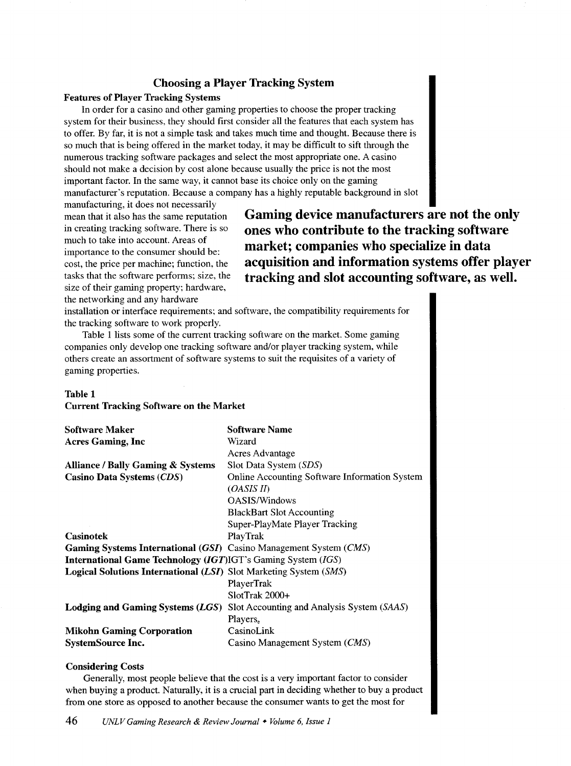### Choosing a Player Tracking System

### Features of Player Tracking Systems

In order for a casino and other gaming properties to choose the proper tracking system for their business, they should first consider all the features that each system has to offer. By far, it is not a simple task and takes much time and thought. Because there is so much that is being offered in the market today, it may be difficult to sift through the numerous tracking software packages and select the most appropriate one. A casino should not make a decision by cost alone because usually the price is not the most important factor. In the same way, it cannot base its choice only on the gaming manufacturer's reputation. Because a company has a highly reputable background in slot

manufacturing, it does not necessarily mean that it also has the same reputation in creating tracking software. There is so much to take into account. Areas of importance to the consumer should be: cost, the price per machine; function, the tasks that the software performs; size, the size of their gaming property; hardware, the networking and any hardware

Gaming device manufacturers are not the only ones who contribute to the tracking software market; companies who specialize in data acquisition and information systems offer player tracking and slot accounting software, as well.

installation or interface requirements; and software, the compatibility requirements for the tracking software to work properly.

Table 1 lists some of the current tracking software on the market. Some gaming companies only develop one tracking software and/or player tracking system, while others create an assortment of software systems to suit the requisites of a variety of gaming properties.

### Table 1

### Current Tracking Software on the Market

| <b>Software Maker</b>                                                    | <b>Software Name</b>                          |
|--------------------------------------------------------------------------|-----------------------------------------------|
| <b>Acres Gaming, Inc.</b>                                                | Wizard                                        |
|                                                                          | Acres Advantage                               |
| <b>Alliance / Bally Gaming &amp; Systems</b>                             | Slot Data System (SDS)                        |
| Casino Data Systems (CDS)                                                | Online Accounting Software Information System |
|                                                                          | (OASIS II)                                    |
|                                                                          | OASIS/Windows                                 |
|                                                                          | <b>BlackBart Slot Accounting</b>              |
|                                                                          | Super-PlayMate Player Tracking                |
| <b>Casinotek</b>                                                         | PlayTrak                                      |
| Gaming Systems International (GSI) Casino Management System (CMS)        |                                               |
| <b>International Game Technology (IGT)IGT's Gaming System (IGS)</b>      |                                               |
| <b>Logical Solutions International (LSI)</b> Slot Marketing System (SMS) |                                               |
|                                                                          | PlayerTrak                                    |
|                                                                          | SlotTrak 2000+                                |
| Lodging and Gaming Systems $(LGS)$                                       | Slot Accounting and Analysis System (SAAS)    |
|                                                                          | Players.                                      |
| <b>Mikohn Gaming Corporation</b>                                         | CasinoLink                                    |
| SystemSource Inc.                                                        | Casino Management System (CMS)                |

#### Considering Costs

Generally, most people believe that the cost is a very important factor to consider when buying a product. Naturally, it is a crucial part in deciding whether to buy a product from one store as opposed to another because the consumer wants to get the most for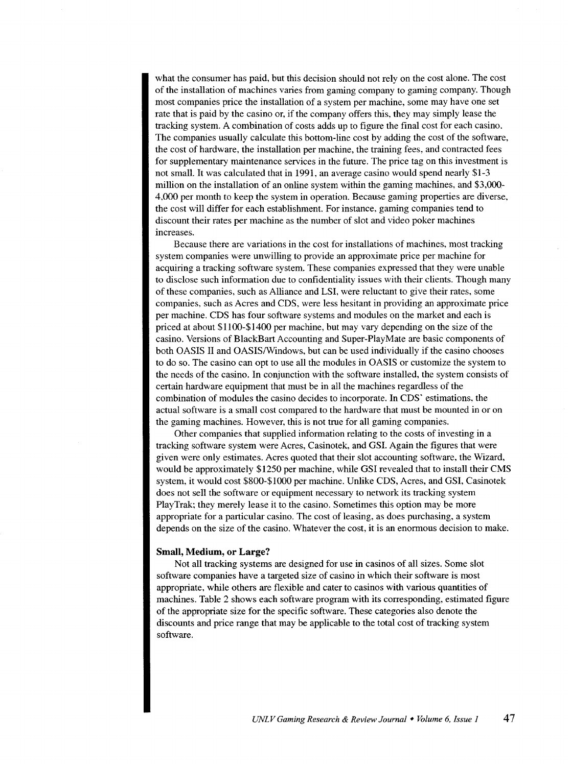what the consumer has paid, but this decision should not rely on the cost alone. The cost of the installation of machines varies from gaming company to gaming company. Though most companies price the installation of a system per machine, some may have one set rate that is paid by the casino or, if the company offers this, they may simply lease the tracking system. A combination of costs adds up to figure the final cost for each casino. The companies usually calculate this bottom-line cost by adding the cost of the software, the cost of hardware, the installation per machine, the training fees, and contracted fees for supplementary maintenance services in the future. The price tag on this investment is not small. It was calculated that in 1991, an average casino would spend nearly \$1-3 million on the installation of an online system within the gaming machines, and \$3,000- 4,000 per month to keep the system in operation. Because gaming properties are diverse, the cost will differ for each establishment. For instance, gaming companies tend to discount their rates per machine as the number of slot and video poker machines increases.

Because there are variations in the cost for installations of machines, most tracking system companies were unwilling to provide an approximate price per machine for acquiring a tracking software system. These companies expressed that they were unable to disclose such information due to confidentiality issues with their clients. Though many of these companies, such as Alliance and LSI, were reluctant to give their rates, some companies, such as Acres and CDS, were less hesitant in providing an approximate price per machine. CDS has four software systems and modules on the market and each is priced at about \$1100-\$1400 per machine, but may vary depending on the size of the casino. Versions of BlackBart Accounting and Super-PlayMate are basic components of both OASIS II and OASIS/Windows, but can be used individually if the casino chooses to do so. The casino can opt to use all the modules in OASIS or customize the system to the needs of the casino. In conjunction with the software installed, the system consists of certain hardware equipment that must be in all the machines regardless of the combination of modules the casino decides to incorporate. In CDS' estimations, the actual software is a small cost compared to the hardware that must be mounted in or on the gaming machines. However, this is not true for all gaming companies.

Other companies that supplied information relating to the costs of investing in a tracking software system were Acres, Casinotek, and GSI. Again the figures that were given were only estimates. Acres quoted that their slot accounting software, the Wizard, would be approximately \$1250 per machine, while GSI revealed that to install their CMS system, it would cost \$800-\$1000 per machine. Unlike CDS, Acres, and GSI, Casinotek does not sell the software or equipment necessary to network its tracking system PlayTrak; they merely lease it to the casino. Sometimes this option may be more appropriate for a particular casino. The cost of leasing, as does purchasing, a system depends on the size of the casino. Whatever the cost, it is an enormous decision to make.

#### **Small, Medium, or Large?**

Not all tracking systems are designed for use in casinos of all sizes. Some slot software companies have a targeted size of casino in which their software is most appropriate, while others are flexible and cater to casinos with various quantities of machines. Table 2 shows each software program with its corresponding, estimated figure of the appropriate size for the specific software. These categories also denote the discounts and price range that may be applicable to the total cost of tracking system software.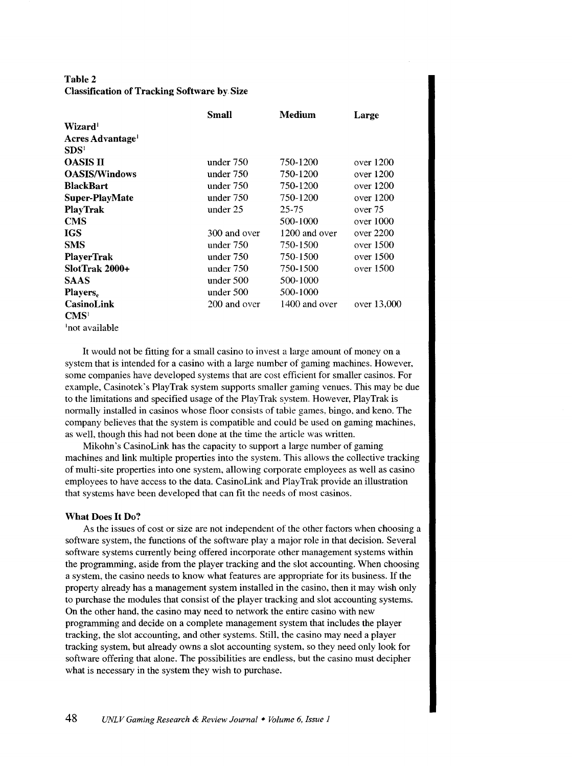### Table 2 Classification of Tracking Software by. Size

|                                                  | <b>Small</b> | Medium        | Large       |
|--------------------------------------------------|--------------|---------------|-------------|
| Wizard <sup>1</sup>                              |              |               |             |
| Acres Advantage <sup>1</sup><br>SDS <sup>1</sup> |              |               |             |
| <b>OASIS II</b>                                  | under 750    | 750-1200      | over 1200   |
| <b>OASIS/Windows</b>                             | under $750$  | 750-1200      | over 1200   |
| <b>BlackBart</b>                                 | under $750$  | 750-1200      | over 1200   |
| <b>Super-PlayMate</b>                            | under $750$  | 750-1200      | over $1200$ |
| PlayTrak                                         | under 25     | $25 - 75$     | over 75     |
| <b>CMS</b>                                       |              | 500-1000      | over 1000   |
| <b>IGS</b>                                       | 300 and over | 1200 and over | over 2200   |
| <b>SMS</b>                                       | under 750    | 750-1500      | over 1500   |
| <b>PlayerTrak</b>                                | under 750    | 750-1500      | over 1500   |
| SlotTrak 2000+                                   | under 750    | 750-1500      | over 1500   |
| <b>SAAS</b>                                      | under 500    | 500-1000      |             |
| Players.                                         | under 500    | 500-1000      |             |
| CasinoLink<br>CMS <sup>1</sup>                   | 200 and over | 1400 and over | over 13,000 |
|                                                  |              |               |             |

'not available

It would not be fitting for a small casino to invest a large amount of money on a system that is intended for a casino with a large number of gaming machines. However, some companies have developed systems that are cost efficient for smaller casinos. For example, Casinotek's PlayTrak system supports smaller gaming venues. This may be due to the limitations and specified usage of the PlayTrak system. However, PlayTrak is normally installed in casinos whose floor consists of table games, bingo, and keno. The company believes that the system is compatible and could be used on gaming machines, as well, though this had not been done at the time the article was written.

Mikohn's Casino Link has the capacity to support a large number of gaming machines and link multiple properties into the system. This allows the collective tracking of multi-site properties into one system, allowing corporate employees as well as casino employees to have access to the data. CasinoLink and PlayTrak provide an illustration that systems have been developed that can fit the needs of most casinos.

### What Does It Do?

As the issues of cost or size are not independent of the other factors when choosing a software system, the functions of the software play a major role in that decision. Several software systems currently being offered incorporate other management systems within the programming, aside from the player tracking and the slot accounting. When choosing a system, the casino needs to know what features are appropriate for its business. If the property already has a management system installed in the casino, then it may wish only to purchase the modules that consist of the player tracking and slot accounting systems. On the other hand, the casino may need to network the entire casino with new programming and decide on a complete management system that includes the player tracking, the slot accounting, and other systems. Still, the casino may need a player tracking system, but already owns a slot accounting system, so they need only look for software offering that alone. The possibilities are endless, but the casino must decipher what is necessary in the system they wish to purchase.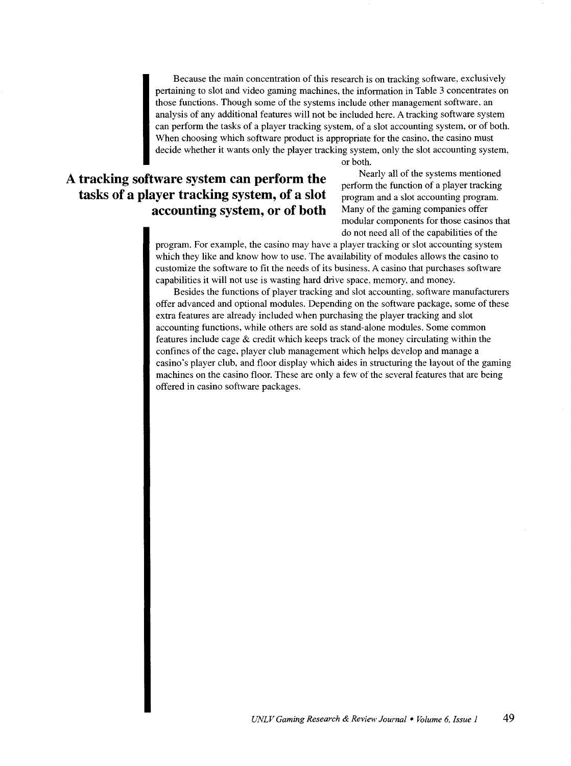Because the main concentration of this research is on tracking software, exclusively pertaining to slot and video gaming machines, the information in Table 3 concentrates on those functions. Though some of the systems include other management software. an analysis of any additional features will not be included here. A tracking software system can perform the tasks of a player tracking system, of a slot accounting system, or of both. When choosing which software product is appropriate for the casino, the casino must decide whether it wants only the player tracking system, only the slot accounting system,

### **A tracking software system can perform the tasks of a player tracking system, of a slot accounting system, or of both**

or both.

Nearly all of the systems mentioned perform the function of a player tracking program and a slot accounting program. Many of the gaming companies offer modular components for those casinos that do not need all of the capabilities of the

program. For example, the casino may have a player tracking or slot accounting system which they like and know how to use. The availability of modules allows the casino to customize the software to fit the needs of its business. A casino that purchases software capabilities it will not use is wasting hard drive space, memory, and money.

Besides the functions of player tracking and slot accounting, software manufacturers offer advanced and optional modules. Depending on the software package, some of these extra features are already included when purchasing the player tracking and slot accounting functions, while others are sold as stand-alone modules. Some common features include cage & credit which keeps track of the money circulating within the confines of the cage, player club management which helps develop and manage a casino's player club, and floor display which aides in structuring the layout of the gaming machines on the casino floor. These are only a few of the several features that are being offered in casino software packages.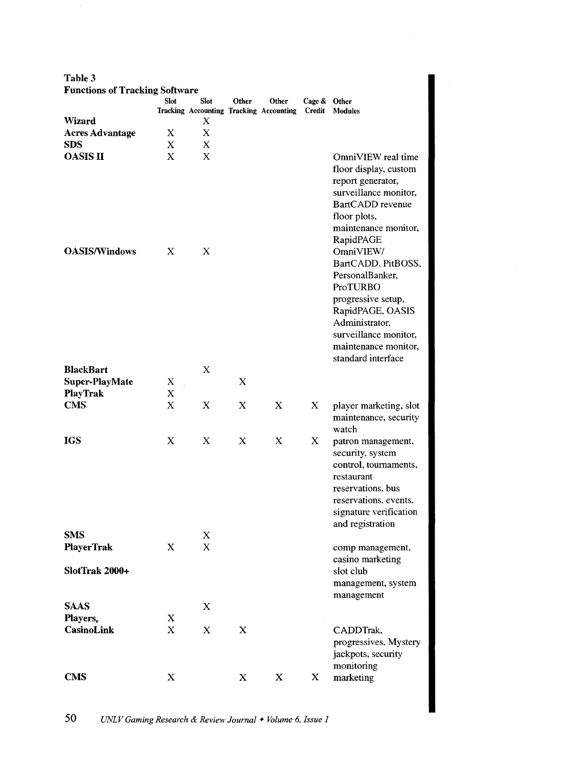### Table 3

| <b>Functions of Tracking Software</b> |                           |                           |       |                                         |              |                                    |
|---------------------------------------|---------------------------|---------------------------|-------|-----------------------------------------|--------------|------------------------------------|
|                                       | Slot                      | <b>Slot</b>               | Other | Other                                   | Cage & Other |                                    |
|                                       |                           |                           |       | Tracking Accounting Tracking Accounting |              | Credit Modules                     |
| <b>Wizard</b>                         |                           | X                         |       |                                         |              |                                    |
| <b>Acres Advantage</b>                | X                         | X                         |       |                                         |              |                                    |
| <b>SDS</b>                            | X                         | X                         |       |                                         |              |                                    |
| <b>OASIS II</b>                       | X                         | X                         |       |                                         |              | OmniVIEW real time                 |
|                                       |                           |                           |       |                                         |              | floor display, custom              |
|                                       |                           |                           |       |                                         |              | report generator,                  |
|                                       |                           |                           |       |                                         |              | surveillance monitor,              |
|                                       |                           |                           |       |                                         |              | BartCADD revenue                   |
|                                       |                           |                           |       |                                         |              | floor plots,                       |
|                                       |                           |                           |       |                                         |              | maintenance monitor,               |
|                                       |                           |                           |       |                                         |              | RapidPAGE                          |
| <b>OASIS/Windows</b>                  | Χ                         | X                         |       |                                         |              | OmniVIEW/                          |
|                                       |                           |                           |       |                                         |              | BartCADD, PitBOSS,                 |
|                                       |                           |                           |       |                                         |              | PersonalBanker,                    |
|                                       |                           |                           |       |                                         |              | ProTURBO                           |
|                                       |                           |                           |       |                                         |              | progressive setup,                 |
|                                       |                           |                           |       |                                         |              | RapidPAGE, OASIS<br>Administrator, |
|                                       |                           |                           |       |                                         |              | surveillance monitor,              |
|                                       |                           |                           |       |                                         |              | maintenance monitor,               |
|                                       |                           |                           |       |                                         |              | standard interface                 |
| <b>BlackBart</b>                      |                           | X                         |       |                                         |              |                                    |
| Super-PlayMate                        | Х                         |                           | X     |                                         |              |                                    |
| PlayTrak                              | Х                         |                           |       |                                         |              |                                    |
| <b>CMS</b>                            | X                         | X                         | X     | X                                       | X            | player marketing, slot             |
|                                       |                           |                           |       |                                         |              | maintenance, security              |
|                                       |                           |                           |       |                                         |              | watch                              |
| <b>IGS</b>                            | X                         | X                         | X     | X                                       | X            | patron management,                 |
|                                       |                           |                           |       |                                         |              | security, system                   |
|                                       |                           |                           |       |                                         |              | control, tournaments,              |
|                                       |                           |                           |       |                                         |              | restaurant                         |
|                                       |                           |                           |       |                                         |              | reservations, bus                  |
|                                       |                           |                           |       |                                         |              | reservations, events,              |
|                                       |                           |                           |       |                                         |              | signature verification             |
|                                       |                           |                           |       |                                         |              | and registration                   |
| <b>SMS</b>                            |                           | X                         |       |                                         |              |                                    |
| <b>PlayerTrak</b>                     | X                         | $\boldsymbol{\mathrm{X}}$ |       |                                         |              | comp management,                   |
|                                       |                           |                           |       |                                         |              | casino marketing                   |
| <b>SlotTrak 2000+</b>                 |                           |                           |       |                                         |              | slot club                          |
|                                       |                           |                           |       |                                         |              | management, system                 |
| <b>SAAS</b>                           |                           | $\mathbf X$               |       |                                         |              | management                         |
| Players <sub>e</sub>                  | X                         |                           |       |                                         |              |                                    |
| CasinoLink                            | $\boldsymbol{\mathrm{X}}$ | $\mathbf X$               | X     |                                         |              | CADDTrak,                          |
|                                       |                           |                           |       |                                         |              | progressives, Mystery              |
|                                       |                           |                           |       |                                         |              | jackpots, security                 |
|                                       |                           |                           |       |                                         |              | monitoring                         |
| <b>CMS</b>                            | X                         |                           | X     | X                                       | X            | marketing                          |
|                                       |                           |                           |       |                                         |              |                                    |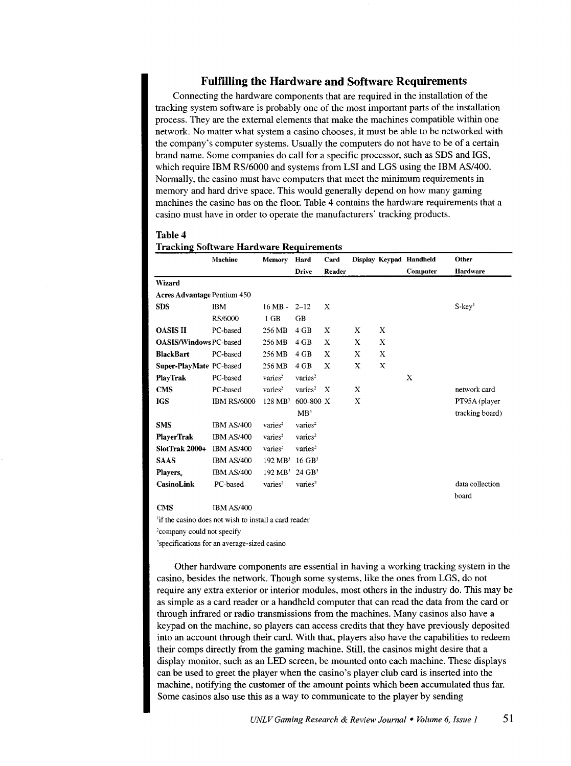### Fulfilling the Hardware and Software Requirements

Connecting the hardware components that are required in the installation of the tracking system software is probably one of the most important parts of the installation process. They are the external elements that make the machines compatible within one network. No matter what system a casino chooses, it must be able to be networked with the company's computer systems. Usually the computers do not have to be of a certain brand name. Some companies do call for a specific processor, such as SDS and IGS, which require IBM RS/6000 and systems from LSI and LGS using the IBM AS/400. Normally, the casino must have computers that meet the minimum requirements in memory and hard drive space. This would generally depend on how many gaming machines the casino has on the floor. Table 4 contains the hardware requirements that a casino must have in order to operate the manufacturers' tracking products.

#### Table 4

### Tracking Software Hardware Requirements

|                               | <b>Machine</b>     | Memory              | Hard                 | Card          |   |   | Display Keypad Handheld | Other                 |
|-------------------------------|--------------------|---------------------|----------------------|---------------|---|---|-------------------------|-----------------------|
|                               |                    |                     | <b>Drive</b>         | <b>Reader</b> |   |   | Computer                | Hardware              |
| <b>Wizard</b>                 |                    |                     |                      |               |   |   |                         |                       |
| Acres Advantage Pentium 450   |                    |                     |                      |               |   |   |                         |                       |
| <b>SDS</b>                    | <b>IBM</b>         | 16 MB -             | $2 - 12$             | X             |   |   |                         | $S$ -kev $\mathsf{I}$ |
|                               | RS/6000            | $1$ GB              | GB                   |               |   |   |                         |                       |
| <b>OASIS II</b>               | PC-based           | 256 MB              | $4$ GB               | Χ             | Χ | X |                         |                       |
| <b>OASIS/Windows PC-based</b> |                    | 256 MB              | $4$ GB               | X             | X | X |                         |                       |
| <b>BlackBart</b>              | PC-based           | 256 MB              | 4 GB                 | X             | Х | X |                         |                       |
| Super-PlayMate PC-based       |                    | 256 MB              | 4 GB                 | X             | X | X |                         |                       |
| <b>PlayTrak</b>               | PC-based           | varies <sup>2</sup> | varies <sup>2</sup>  |               |   |   | X                       |                       |
| <b>CMS</b>                    | PC-based           | varies <sup>2</sup> | varies <sup>2</sup>  | Х             | X |   |                         | network card          |
| <b>IGS</b>                    | <b>IBM RS/6000</b> | $128 \text{ MB}^3$  | 600-800 X            |               | X |   |                         | PT95A (player         |
|                               |                    |                     | MB <sup>3</sup>      |               |   |   |                         | tracking board)       |
| <b>SMS</b>                    | <b>IBM AS/400</b>  | varies <sup>2</sup> | varies <sup>2</sup>  |               |   |   |                         |                       |
| <b>PlayerTrak</b>             | <b>IBM AS/400</b>  | varies <sup>2</sup> | varies <sup>2</sup>  |               |   |   |                         |                       |
| SlotTrak 2000+                | <b>IBM AS/400</b>  | varies <sup>2</sup> | varies <sup>2</sup>  |               |   |   |                         |                       |
| <b>SAAS</b>                   | <b>IBM AS/400</b>  | $192 \text{ MB}^3$  | $16$ GB <sup>3</sup> |               |   |   |                         |                       |
| Players.                      | IBM AS/400         | $192 \text{ MB}^3$  | $24$ GB <sup>3</sup> |               |   |   |                         |                       |
| CasinoLink                    | PC-based           | varies <sup>2</sup> | varies <sup>2</sup>  |               |   |   |                         | data collection       |
|                               |                    |                     |                      |               |   |   |                         | board                 |

CMS IBMAS/400

'if the casino does not wish to install a card reader

'company could not specify

'specifications for an average-sized casino

Other hardware components are essential in having a working tracking system in the casino, besides the network. Though some systems, like the ones from LGS, do not require any extra exterior or interior modules, most others in the industry do. This may be as simple as a card reader or a handheld computer that can read the data from the card or through infrared or radio transmissions from the machines. Many casinos also have a keypad on the machine, so players can access credits that they have previously deposited into an account through their card. With that, players also have the capabilities to redeem their comps directly from the gaming machine. Still, the casinos might desire that a display monitor, such as an LED screen, be mounted onto each machine. These displays can be used to greet the player when the casino's player club card is inserted into the machine, notifying the customer of the amount points which been accumulated thus far. Some casinos also use this as a way to communicate to the player by sending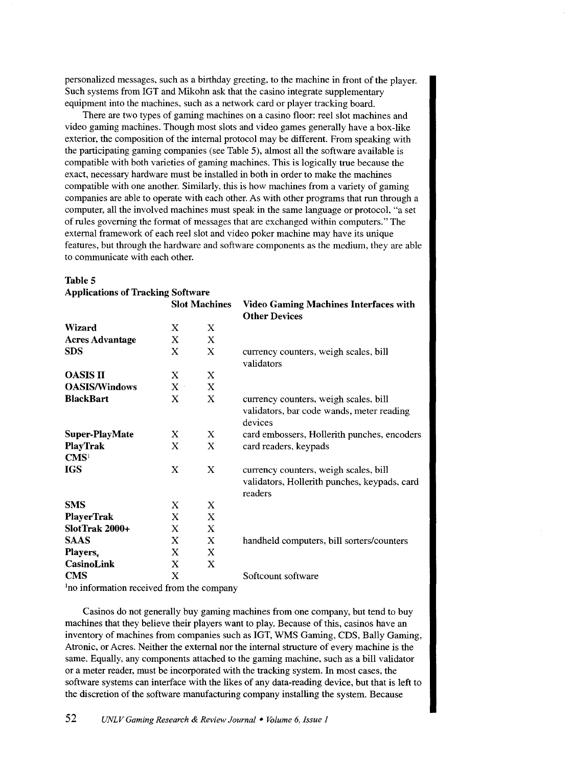personalized messages, such as a birthday greeting, to the machine in front of the player. Such systems from IGT and Mikohn ask that the casino integrate supplementary equipment into the machines, such as a network card or player tracking board.

There are two types of gaming machines on a casino floor: reel slot machines and video gaming machines. Though most slots and video games generally have a box-like exterior, the composition of the internal protocol may be different. From speaking with the participating gaming companies (see Table 5), almost all the software available is compatible with both varieties of gaming machines. This is logically true because the exact, necessary hardware must be installed in both in order to make the machines compatible with one another. Similarly, this is how machines from a variety of gaming companies are able to operate with each other. As with other programs that run through a computer, all the involved machines must speak in the same language or protocol, "a set of rules governing the format of messages that are exchanged within computers." The external framework of each reel slot and video poker machine may have its unique features, but through the hardware and software components as the medium, they are able to communicate with each other.

| <b>Applications of Tracking Software</b> |                      |                      |                                                                                                  |  |  |
|------------------------------------------|----------------------|----------------------|--------------------------------------------------------------------------------------------------|--|--|
|                                          |                      | <b>Slot Machines</b> | <b>Video Gaming Machines Interfaces with</b>                                                     |  |  |
|                                          |                      |                      | <b>Other Devices</b>                                                                             |  |  |
| <b>Wizard</b>                            | X                    | X                    |                                                                                                  |  |  |
| <b>Acres Advantage</b>                   | X                    | $\mathbf{X}$         |                                                                                                  |  |  |
| <b>SDS</b>                               | X                    | X                    | currency counters, weigh scales, bill<br>validators                                              |  |  |
| <b>OASIS II</b>                          | X                    | X                    |                                                                                                  |  |  |
| <b>OASIS/Windows</b>                     | X<br>$\bar{\bar{z}}$ | X                    |                                                                                                  |  |  |
| <b>BlackBart</b>                         | X                    | X                    | currency counters, weigh scales, bill<br>validators, bar code wands, meter reading<br>devices    |  |  |
| <b>Super-PlayMate</b>                    | X                    | X                    | card embossers, Hollerith punches, encoders                                                      |  |  |
| <b>PlayTrak</b><br>CMS <sup>1</sup>      | X                    | X                    | card readers, keypads                                                                            |  |  |
| <b>IGS</b>                               | X                    | X                    | currency counters, weigh scales, bill<br>validators, Hollerith punches, keypads, card<br>readers |  |  |
| <b>SMS</b>                               | X                    | X                    |                                                                                                  |  |  |
| <b>PlayerTrak</b>                        | X                    | X                    |                                                                                                  |  |  |
| SlotTrak 2000+                           | X                    | X                    |                                                                                                  |  |  |
| <b>SAAS</b>                              | X                    | X                    | handheld computers, bill sorters/counters                                                        |  |  |
| <b>Players</b>                           | X                    | X                    |                                                                                                  |  |  |
| CasinoLink                               | X                    | X                    |                                                                                                  |  |  |
| <b>CMS</b>                               | X                    |                      | Softcount software                                                                               |  |  |
| no information received from the company |                      |                      |                                                                                                  |  |  |

### Table 5

Casinos do not generally buy gaming machines from one company, but tend to buy machines that they believe their players want to play. Because of this, casinos have an inventory of machines from companies such as IGT, WMS Gaming, CDS, Bally Gaming, Atronic, or Acres. Neither the external nor the internal structure of every machine is the same. Equally, any components attached to the gaming machine, such as a bill validator or a meter reader, must be incorporated with the tracking system. In most cases, the software systems can interface with the likes of any data-reading device, but that is left to the discretion of the software manufacturing company installing the system. Because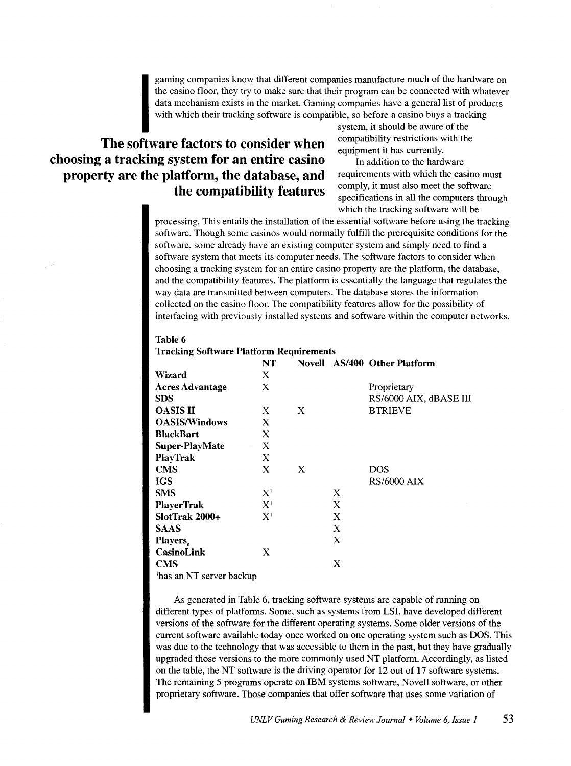gaining companies know that different comparison the casino floor, they try to make sure that the data mechanism exists in the market. Gamin with which their tracking software is compared The software factors to consider w gaming companies know that different companies manufacture much of the hardware on the casino floor, they try to make sure that their program can be connected with whatever data mechanism exists in the market. Gaming companies have a general list of products with which their tracking software is compatible, so before a casino buys a tracking

## choosing a tracking system for an entire casino property are the platform, the database, and the compatibility features

system, it should be aware of the compatibility restrictions with the equipment it has currently.

In addition to the hardware requirements with which the casino must comply, it must also meet the software specifications in all the computers through which the tracking software will be

processing. This entails the installation of the essential software before using the tracking software. Though some casinos would normally fulfill the prerequisite conditions for the software, some already have an existing computer system and simply need to find a software system that meets its computer needs. The software factors to consider when choosing a tracking system for an entire casino property are the platform, the database, and the compatibility features. The platform is essentially the language that regulates the way data are transmitted between computers. The database stores the infonnation collected on the casino floor. The compatibility features allow for the possibility of interfacing with previously installed systems and software within the computer networks.

Table 6 Tracking Software Platform Requirements

|                         | NT                                |   |   | <b>Novell</b> AS/400 Other Platform |
|-------------------------|-----------------------------------|---|---|-------------------------------------|
| Wizard                  | X                                 |   |   |                                     |
| <b>Acres Advantage</b>  | X                                 |   |   | Proprietary                         |
| <b>SDS</b>              |                                   |   |   | RS/6000 AIX, dBASE III              |
| <b>OASIS II</b>         | X                                 | X |   | <b>BTRIEVE</b>                      |
| <b>OASIS/Windows</b>    | X                                 |   |   |                                     |
| <b>BlackBart</b>        | X                                 |   |   |                                     |
| <b>Super-PlayMate</b>   | X                                 |   |   |                                     |
| <b>PlayTrak</b>         | X                                 |   |   |                                     |
| <b>CMS</b>              | X                                 | X |   | DOS                                 |
| <b>IGS</b>              |                                   |   |   | <b>RS/6000 AIX</b>                  |
| <b>SMS</b>              | $X^1$                             |   | X |                                     |
| <b>PlayerTrak</b>       | $\mathbf{X}^{\mathsf{I}}$         |   | X |                                     |
| SlotTrak 2000+          | $X^{\scriptscriptstyle \text{I}}$ |   | X |                                     |
| <b>SAAS</b>             |                                   |   | X |                                     |
| Players                 |                                   |   | X |                                     |
| <b>CasinoLink</b>       | X                                 |   |   |                                     |
| <b>CMS</b>              |                                   |   | X |                                     |
| has an NT server backup |                                   |   |   |                                     |

As generated in Table 6, tracking software systems are capable of running on different types of platforms. Some, such as systems from LSI, have developed different versions of the software for the different operating systems. Some older versions of the current software available today once worked on one operating system such as DOS. This was due to the technology that was accessible to them in the past, but they have gradually upgraded those versions to the more commonly used NT platform. Accordingly, as listed on the table, the NT software is the driving operator for 12 out of 17 software systems. The remaining 5 programs operate on IBM systems software, Novell software, or other proprietary software. Those companies that offer software that uses some variation of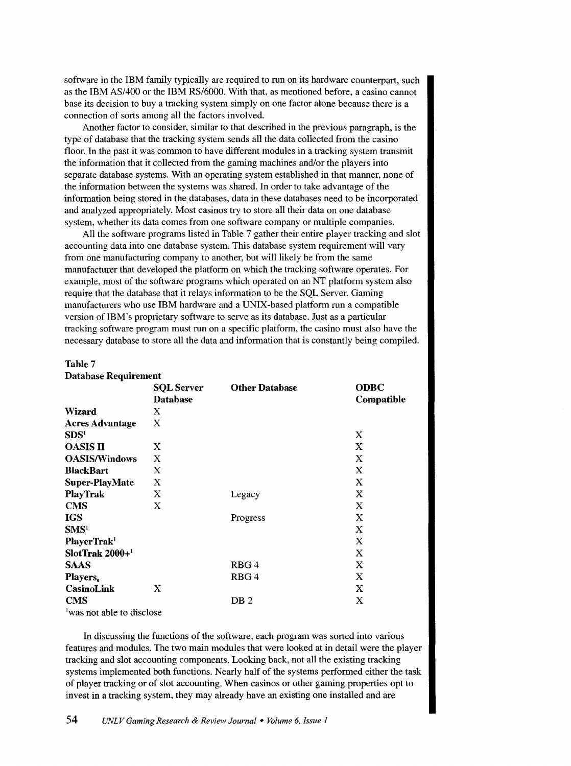software in the IBM family typically are required to run on its hardware counterpart, such as the IBM AS/400 or the IBM RS/6000. With that, as mentioned before, a casino cannot base its decision to buy a tracking system simply on one factor alone because there is a connection of sorts among all the factors involved.

Another factor to consider, similar to that described in the previous paragraph, is the type of database that the tracking system sends all the data collected from the casino floor. In the past it was common to have different modules in a tracking system transmit the information that it collected from the gaming machines and/or the players into separate database systems. With an operating system established in that manner, none of the information between the systems was shared. In order to take advantage of the information being stored in the databases, data in these databases need to be incorporated and analyzed appropriately. Most casinos try to store all their data on one database system, whether its data comes from one software company or multiple companies.

All the software programs listed in Table 7 gather their entire player tracking and slot accounting data into one database system. This database system requirement will vary from one manufacturing company to another, but will likely be from the same manufacturer that developed the platform on which the tracking software operates. For example, most of the software programs which operated on an NT platform system also require that the database that it relays information to be the SQL Server. Gaming manufacturers who use IBM hardware and a UNIX-based platform run a compatible version of IBM's proprietary software to serve as its database. Just as a particular tracking software program must run on a specific platform, the casino must also have the necessary database to store all the data and information that is constantly being compiled.

### Table 7

|  | <b>Database Requirement</b> |
|--|-----------------------------|
|--|-----------------------------|

| Dumbabe Ivequitement              |                   |                       |            |
|-----------------------------------|-------------------|-----------------------|------------|
|                                   | <b>SQL Server</b> | <b>Other Database</b> | ODBC       |
|                                   | <b>Database</b>   |                       | Compatible |
| <b>Wizard</b>                     | X                 |                       |            |
| <b>Acres Advantage</b>            | X                 |                       |            |
| SDS <sup>1</sup>                  |                   |                       | X          |
| <b>OASIS II</b>                   | X                 |                       | X          |
| <b>OASIS/Windows</b>              | X                 |                       | X          |
| <b>BlackBart</b>                  | X                 |                       | X          |
| <b>Super-PlayMate</b>             | X                 |                       | X          |
| PlayTrak                          | X                 | Legacy                | X          |
| <b>CMS</b>                        | X                 |                       | X          |
| <b>IGS</b>                        |                   | Progress              | X          |
| SMS <sup>T</sup>                  |                   |                       | X          |
| PlayerTrak <sup>1</sup>           |                   |                       | X          |
| $\rm SlotTrak$ 2000+ <sup>1</sup> |                   |                       | X          |
| SAAS                              |                   | RBG4                  | X          |
| Players.                          |                   | RBG4                  | X          |
| CasinoLink                        | X                 |                       | X          |
| <b>CMS</b>                        |                   | DB <sub>2</sub>       | X          |
|                                   |                   |                       |            |

<sup>1</sup>was not able to disclose

In discussing the functions of the software, each program was sorted into various features and modules. The two main modules that were looked at in detail were the player tracking and slot accounting components. Looking back, not all the existing tracking systems implemented both functions. Nearly half of the systems performed either the task of player tracking or of slot accounting. When casinos or other gaming properties opt to invest in a tracking system, they may already have an existing one installed and are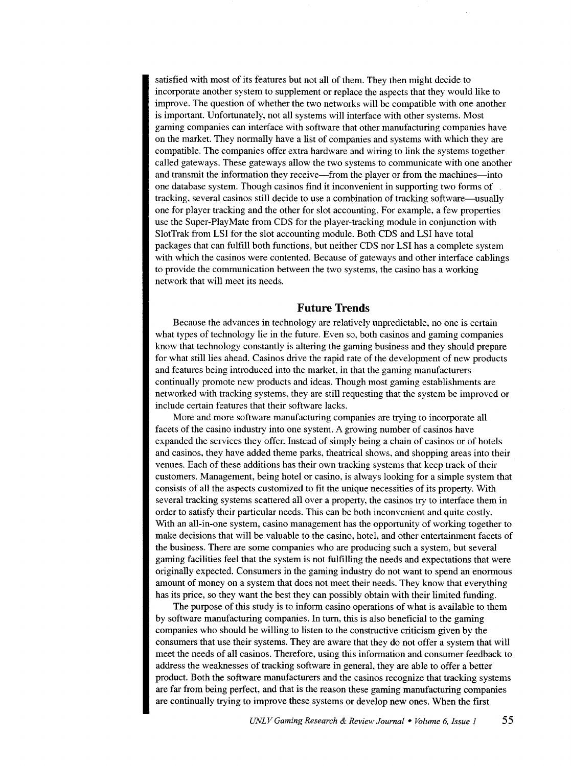satisfied with most of its features but not all of them. They then might decide to incorporate another system to supplement or replace the aspects that they would like to improve. The question of whether the two networks will be compatible with one another is important. Unfortunately, not all systems will interface with other systems. Most gaming companies can interface with software that other manufacturing companies have on the market. They normally have a list of companies and systems with which they are compatible. The companies offer extra hardware and wiring to link the systems together called gateways. These gateways allow the two systems to communicate with one another and transmit the information they receive-from the player or from the machines-into one database system. Though casinos find it inconvenient in supporting two forms of tracking, several casinos still decide to use a combination of tracking software-usually one for player tracking and the other for slot accounting. For example, a few properties use the Super-PlayMate from CDS for the player-tracking module in conjunction with SlotTrak from LSI for the slot accounting module. Both CDS and LSI have total packages that can fulfill both functions, but neither CDS nor LSI has a complete system with which the casinos were contented. Because of gateways and other interface cablings to provide the communication between the two systems, the casino has a working network that will meet its needs.

### **Future Trends**

Because the advances in technology are relatively unpredictable, no one is certain what types of technology lie in the future. Even so, both casinos and gaming companies know that technology constantly is altering the gaming business and they should prepare for what still lies ahead. Casinos drive the rapid rate of the development of new products and features being introduced into the market, in that the gaming manufacturers continually promote new products and ideas. Though most gaming establishments are networked with tracking systems, they are still requesting that the system be improved or include certain features that their software lacks.

More and more software manufacturing companies are trying to incorporate all facets of the casino industry into one system. A growing number of casinos have expanded the services they offer. Instead of simply being a chain of casinos or of hotels and casinos. they have added theme parks. theatrical shows, and shopping areas into their venues. Each of these additions has their own tracking systems that keep track of their customers. Management, being hotel or casino, is always looking for a simple system that consists of all the aspects customized to fit the unique necessities of its property. With several tracking systems scattered all over a property, the casinos try to interface them in order to satisfy their particular needs. This can be both inconvenient and quite costly. With an all-in-one system, casino management has the opportunity of working together to make decisions that will be valuable to the casino, hotel, and other entertainment facets of the business. There are some companies who are producing such a system, but several gaming facilities feel that the system is not fulfilling the needs and expectations that were originally expected. Consumers in the gaming industry do not want to spend an enormous amount of money on a system that does not meet their needs. They know that everything has its price, so they want the best they can possibly obtain with their limited funding.

The purpose of this study is to inform casino operations of what is available to them by software manufacturing companies. In tum, this is also beneficial to the gaming companies who should be willing to listen to the constructive criticism given by the consumers that use their systems. They are aware that they do not offer a system that will meet the needs of all casinos. Therefore, using this information and consumer feedback to address the weaknesses of tracking software in general. they are able to offer a better product. Both the software manufacturers and the casinos recognize that tracking systems are far from being perfect, and that is the reason these gaming manufacturing companies are continually trying to improve these systems or develop new ones. When the first